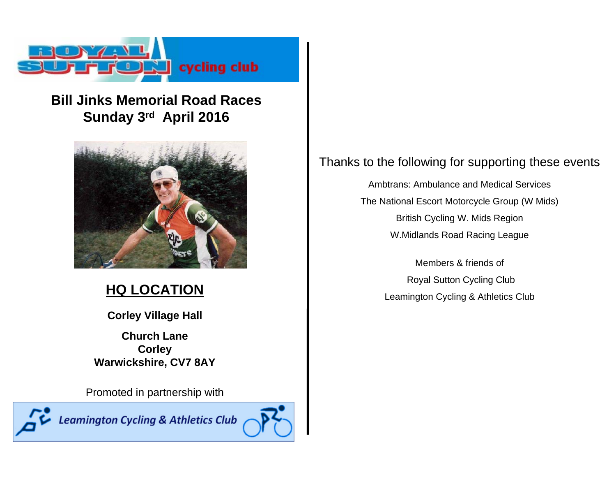

## **Bill Jinks Memorial Road RacesSunday 3rd April 2016**



## **HQ LOCATION**

**Corley Village Hall**

**Church LaneCorley Warwickshire, CV7 8AY**

Promoted in partnership with

**Leamington Cycling & Athletics Club** 



### Thanks to the following for supporting these events

Ambtrans: Ambulance and Medical ServicesThe National Escort Motorcycle Group (W Mids) British Cycling W. Mids Region W.Midlands Road Racing League

> Members & friends ofRoyal Sutton Cycling Club Leamington Cycling & Athletics Club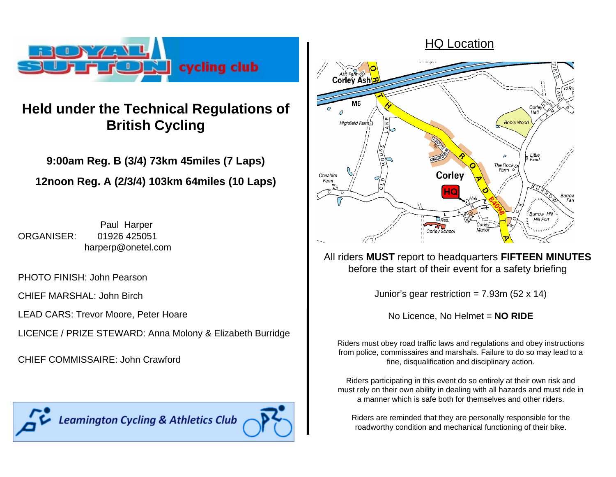

# **Held under the Technical Regulations of British Cycling**

**9:00am Reg. B (3/4) 73km 45miles (7 Laps) 12noon Reg. A (2/3/4) 103km 64miles (10 Laps)**

Paul Harper ORGANISER: 01926 425051 harperp@onetel.com

PHOTO FINISH: John Pearson

CHIEF MARSHAL: John Birch

LEAD CARS: Trevor Moore, Peter Hoare

LICENCE / PRIZE STEWARD: Anna Molony & Elizabeth Burridge

CHIEF COMMISSAIRE: John Crawford

**Leamington Cycling & Athletics Club** 





All riders **MUST** report to headquarters **FIFTEEN MINUTES** before the start of their event for a safety briefing

Junior's gear restriction =  $7.93m$  (52 x 14)

No Licence, No Helmet = **NO RIDE**

Riders must obey road traffic laws and regulations and obey instructions from police, commissaires and marshals. Failure to do so may lead to a fine, disqualification and disciplinary action.

Riders participating in this event do so entirely at their own risk and must rely on their own ability in dealing with all hazards and must ride in a manner which is safe both for themselves and other riders.

Riders are reminded that they are personally responsible for the roadworthy condition and mechanical functioning of their bike.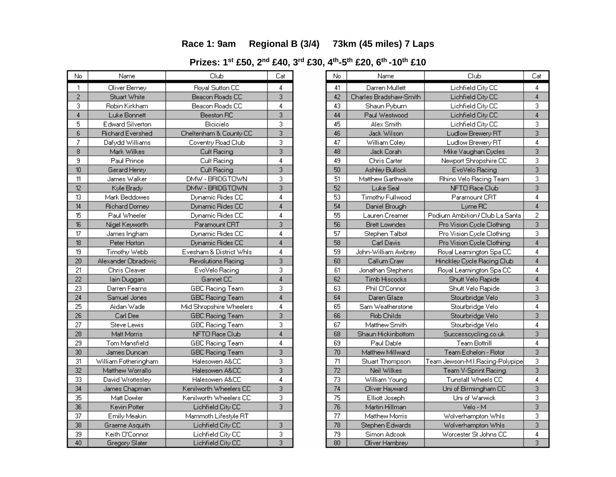### **Race 1: 9am Regional B (3/4) 73km (45 miles) 7 Laps**

**Prizes: 1st £50, 2n<sup>d</sup> £40, 3r<sup>d</sup> £30, 4th-5th £20, 6th -10th £10**

| No              | Name                    | Club                    | Cat                       |
|-----------------|-------------------------|-------------------------|---------------------------|
| 1               | Oliver Berney           | Royal Sutton CC         | 4                         |
| $\overline{2}$  | Stuart White            | Beacon Roads CC         | $\overline{3}$            |
| 3               | Robin Kirkham           | Beacon Roads CC         | $\overline{4}$            |
| $\overline{4}$  | Luke Bonnett            | Beeston RC              | 3                         |
| 5               | <b>Edward Silverton</b> | Bicicielo               | 3                         |
| 6               | <b>Richard Evershed</b> | Cheltenham & County CC  | $\overline{3}$            |
| 7               | Dafydd Williams         | Coventry Road Club      | 3                         |
| $\overline{8}$  | Mark Wilkes             | Cult Racing             | $\overline{3}$            |
| $\overline{9}$  | Paul Prince             | Cult Racing             | 4                         |
| 10              | Gerard Henry            | Cult Racing             | $\overline{3}$            |
| 11              | James Walker            | DMW - BRIDGTOWN         | 3                         |
| 12              | Kyle Brady              | DMW - BRIDGTOWN         | 3                         |
| 13              | Mark Beddowes           | Dynamic Rides CC        | 4                         |
| 14              | <b>Richard Dorney</b>   | Dynamic Rides CC        | $\overline{4}$            |
| 15              | Paul Wheeler            | Dynamic Rides CC        | 4                         |
| 16              | Nigel Keyworth          | Paramount CRT           | 3                         |
| 17              | James Ingham            | Dynamic Rides CC        | 4                         |
| 18              | Peter Horton            | Dynamic Rides CC        | $\overline{4}$            |
| 19              | Timothy Webb            | Evesham & District Whls | 4                         |
| 20              | Alexander Obradovic     | Revolutions Racing      | 3                         |
| 21              | <b>Chris Cleaver</b>    | EvoVelo Racing          | 3                         |
| 22              | lain Duggan             | Gannet CC               | 4                         |
| 23              | Darren Fearns           | <b>GBC Racing Team</b>  | 3                         |
| $\overline{24}$ | Samuel Jones            | <b>GBC Racing Team</b>  | $\overline{4}$            |
| 25              | Aidan Wade              | Mid Shropshire Wheelers | 4                         |
| 26              | Carl Dee                | <b>GBC Racing Team</b>  | $\overline{3}$            |
| 27              | Steve Lewis             | <b>GBC Racing Team</b>  | 3                         |
| 28              | Matt Morris             | NFTO Race Club          | 4                         |
| 29              | Tom Mansfield           | GBC Racing Team         | 4                         |
| 30              | James Duncan            | <b>GBC Racing Team</b>  | $\overline{\overline{3}}$ |
| 31              | William Fotheringham    | Halesowen A&CC          | 3                         |
| 32              | Matthew Worrallo        | Halesowen A&CC          | 3                         |
| 33              | David Wrottesley        | Halesowen A&CC          | 4                         |
| 34              | James Chapman           | Kenilworth Wheelers CC  | $\overline{\overline{3}}$ |
| 35              | Matt Dowler             | Kenilworth Wheelers CC  | 3                         |
| 36              | Kevin Potter            | Lichfield City CC       | $\overline{3}$            |
| 37              | Emily Meakin            | Mammoth Lifestyle RT    |                           |
| 38              | Graeme Asquith          | Lichfield City CC       | 3                         |
| 39              | Keith O'Connor          | Lichfield City CC       | 3                         |
| $\overline{40}$ | Gregory Slater          | Lichfield City CC       | $\overline{3}$            |

| No              | Name                   | Club                            | Cat                       |
|-----------------|------------------------|---------------------------------|---------------------------|
| 41              | Darren Mullett         | Lichfield City CC               | 4                         |
| 42              | Charles Bradshaw-Smith | Lichfield City CC               | 4                         |
| 43              | Shaun Pyburn           | Lichfield City CC               | 3                         |
| 44              | Paul Westwood          | Lichfield City CC               | $\overline{4}$            |
| 45              | Alex Smith             | Lichfield City CC               | 3                         |
| 46              | Jack Wilson            | Ludlow Brewery RT               | 3                         |
| 47              | William Coley          | Ludlow Brewery RT               | 4                         |
| 48              | Jack Corah             | Mike Vaughan Cycles             | $\overline{3}$            |
| 49              | Chris Carter           | Newport Shropshire CC           | 3                         |
| 50              | Ashley Bullock         | EvoVelo Racing                  | $\overline{3}$            |
| 51              | Matthew Garthwaite     | Rhino Velo Racing Team          | 3                         |
| 52              | Luke Seal              | NFTO Race Club                  | 3                         |
| 53              | Timothy Fullwood       | Paramount CRT                   | 4                         |
| 54              | Daniel Brough          | Lyme RC                         | $\overline{4}$            |
| 55              | Lauren Creamer         | Podium Ambition / Club La Santa | $\overline{c}$            |
| 56              | <b>Brett Lowndes</b>   | Pro Vision Cycle Clothing       | 3                         |
| 57              | Stephen Talbot         | Pro Vision Cycle Clothing       | 3                         |
| 58              | Carl Davis             | Pro Vision Cycle Clothing       | $\overline{4}$            |
| 59              | John-William Awbrey    | Royal Leamington Spa CC         | 4                         |
| 60              | Callum Craw            | Hinckley Cycle Racing Club      | $\overline{4}$            |
| 61              | Jonathan Stephens      | Royal Leamington Spa CC         | 4                         |
| 62              | Timb Hiscocks          | Shutt Velo Rapide               | 4                         |
| 63              | Phil O'Connor          | Shutt Velo Rapide               | 3                         |
| 64              | Daren Glaze            | Stourbridge Velo                | $\overline{\overline{3}}$ |
| 65              | Sam Weatherstone       | Stourbridge Velo                | 4                         |
| 66              | Rob Childs             | Stourbridge Velo                | $\overline{3}$            |
| 67              | Matthew Smith          | Stourbridge Velo                | 4                         |
| 68              | Shaun Hickinbottom     | Successcycling.co.uk            | $\overline{3}$            |
| 69              | Paul Dable             | Team Bottrill                   | 4                         |
| 70              | Matthew Millward       | Team Echelon - Rotor            | $\overline{\overline{3}}$ |
| 71              | Stuart Thompson        | Team Jewson-M.I.Racing-Polypipe | 3                         |
| $\overline{72}$ | Neil Wilkes            | Team V-Sprint Racing            | 3                         |
| 73              | William Young          | Tunstall Wheels CC              | 4                         |
| $\overline{74}$ | Oliver Hayward         | Uni of Birmingham CC            | $\overline{3}$            |
| 75              | Elliott Joseph         | Uni of Warwick                  | 3                         |
| 76              | Martin Hillman         | Velo - M                        | $\overline{3}$            |
| 77              | Matthew Morris         | Wolverhampton Whis              | 3                         |
| 78              | Stephen Edwards        | Wolverhampton Whis              | 3                         |
| 79              | Simon Adcook           | Worcester St Johns CC           | 4                         |
| 80              | Oliver Hambrev         |                                 | $\overline{3}$            |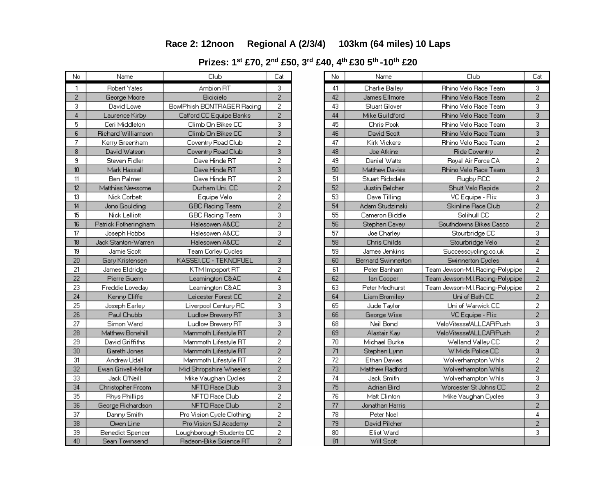### **Race 2: 12noon Regional A (2/3/4) 103km (64 miles) 10 Laps**

**Prizes: 1st £70, 2n<sup>d</sup> £50, 3r<sup>d</sup> £40, 4th £30 5th -10th £20**

| No             | Name                    | Club                       | Cat                       |
|----------------|-------------------------|----------------------------|---------------------------|
| 1              | <b>Robert Yates</b>     | Ambion RT                  | 3                         |
| $\overline{2}$ | George Moore            | Bicicielo                  | $\overline{2}$            |
| 3              | David Lowe              | BowlPhish BONTRAGER Racing | $\overline{c}$            |
| $\overline{4}$ | Laurence Kirbv          | Catford CC Equipe Banks    | $\overline{2}$            |
| 5              | Ceri Middleton          | Climb On Bikes CC          | 3                         |
| $\overline{6}$ | Richard Williamson      | Climb On Bikes CC          | $\overline{3}$            |
| 7              | Kerry Greenham          | Coventry Road Club         | $\overline{2}$            |
| 8              | David Watson            | Coventry Road Club         | 3                         |
| 9              | Steven Fidler           | Dave Hinde RT              | $\overline{c}$            |
| 10             | Mark Hassall            | Dave Hinde RT              | 3                         |
| 11             | Ben Palmer              | Dave Hinde RT              | 2                         |
| 12             | Matthias Newsome        | Durham Uni. CC             | $\overline{2}$            |
| 13             | Nick Corbett            | Equipe Velo                | $\overline{2}$            |
| 14             | Jono Gouldina           | <b>GBC Racing Team</b>     | $\overline{2}$            |
| 15             | Nick Lelliott           | GBC Racing Team            | 3                         |
| 16             | Patrick Fotheringham    | Halesowen A&CC             | $\overline{2}$            |
| 17             | Joseph Hobbs            | Halesowen A&CC             | 3                         |
| 18             | Jack Stanton-Warren     | Halesowen A&CC             | $\overline{2}$            |
| 19             | Jamie Scott             | Team Corley Cycles         |                           |
| 20             | Gary Kristensen         | KASSEI.CC - TEKNOFUEL      | 3                         |
| 21             | James Eldridge          | KTM Impsport RT            | 2                         |
| 22             | Pierre Guern            | Leamington C&AC            | 4                         |
| 23             | Freddie Loveday         | Leamington C&AC            | 3                         |
| 24             | Kenny Cliffe            | Leicester Forest CC        | $\overline{2}$            |
| 25             | Joseph Earley           | Liverpool Century RC       | 3                         |
| 26             | Paul Chubb              | Ludlow Brewery RT          | $\overline{\overline{3}}$ |
| 27             | Simon Ward              | Ludlow Brewery RT          | 3                         |
| 28             | Matthew Bonehill        | Mammoth Lifestyle RT       | $\overline{2}$            |
| 29             | David Griffiths         | Mammoth Lifestyle RT       | $\overline{c}$            |
| 30             | Gareth Jones            | Mammoth Lifestyle RT       | $\overline{2}$            |
| 31             | Andrew Udall            | Mammoth Lifestyle RT       | $\overline{c}$            |
| 32             | Ewan Grivell-Mellor     | Mid Shropshire Wheelers    | $\overline{2}$            |
| 33             | Jack O'Neill            | Mike Vaughan Cycles        | 2                         |
| 34             | Christopher Froom       | NFTO Race Club             | $\overline{3}$            |
| 35             | <b>Rhys Phillips</b>    | NFTO Race Club             | $\overline{2}$            |
| 36             | George Richardson       | NFTO Race Club             | $\overline{c}$            |
| 37             | Danny Smith             | Pro Vision Cycle Clothing  | $\overline{c}$            |
| 38             | Owen Line               | Pro Vision SJ Academy      | $\overline{2}$            |
| 39             | <b>Benedict Spencer</b> | Loughborough Students CC   | 2                         |
| 40             | Sean Townsend           | Radeon-Bike Science RT     | $\overline{2}$            |

| No              | Name               | Club                            | Cat                     |
|-----------------|--------------------|---------------------------------|-------------------------|
| 41              | Charlie Bailey     | Rhino Velo Race Team            | 3                       |
| 42              | James Ellmore      | Rhino Velo Race Team            | $\overline{c}$          |
| 43              | Stuart Glover      | Rhino Velo Race Team            | 3                       |
| 44              | Mike Guildford     | Rhino Velo Race Team            | $\overline{3}$          |
| 45              | Chris Pook         | Rhino Velo Race Team            | 3                       |
| 46              | David Scott        | Rhino Velo Race Team            | $\overline{3}$          |
| 47              | Kirk Vickers       | Rhino Velo Race Team            | $\overline{2}$          |
| 48              | Joe Atkins         | Ride Coventry                   | $\overline{2}$          |
| 49              | Daniel Watts       | Royal Air Force CA              | 2                       |
| 50              | Matthew Davies     | Rhino Velo Race Team            | 3                       |
| 51              | Stuart Ridsdale    | Rugby RCC                       | $\overline{c}$          |
| 52              | Justin Belcher     | Shutt Velo Rapide               | $\overline{2}$          |
| 53              | Dave Tilling       | VC Equipe - Flix                | $\overline{3}$          |
| 54              | Adam Studzinski    | Skinline Race Club              | $\overline{2}$          |
| 55              | Cameron Biddle     | Solihull CC                     | $\overline{c}$          |
| 56              | Stephen Cavey      | Southdowns Bikes Casco          | $\overline{c}$          |
| 57              | Joe Charley        | Stourbridge CC                  | 3                       |
| 58              | Chris Childs       | Stourbridge Velo                | $\overline{2}$          |
| 59              | James Jenkins      | Successcycling.co.uk            | $\overline{c}$          |
| 60              | Bernard Swinnerton | Swinnerton Cycles               | 4                       |
| 61              | Peter Banham       | Team Jewson-M.I.Racing-Polypipe | 2                       |
| 62              | lan Cooper         | Team Jewson-M.I.Racing-Polypipe | $\overline{c}$          |
| 63              | Peter Medhurst     | Team Jewson-M.I.Racing-Polypipe | $\overline{c}$          |
| 64              | Liam Bromiley      | Uni of Bath CC                  | $\overline{2}$          |
| 65              | Jude Taylor        | Uni of Warwick CC               | $\overline{c}$          |
| 66              | George Wise        | VC Equipe - Flix                | $\overline{2}$          |
| 68              | Neil Bond          | VeloVitesse/ALLCAP/Push         | 3                       |
| 69              | Alastair Kay       | VeloVitesse/ALLCAP/Push         | $\overline{2}$          |
| 70              | Michael Burke      | Welland Valley CC               | $\overline{c}$          |
| 71              | Stephen Lynn       | W Mids Police CC                | $\overline{3}$          |
| 72              | Ethan Davies       | Wolverhampton Whis              | $\overline{\mathbf{c}}$ |
| 73              | Matthew Radford    | Wolverhampton Whis              | $\overline{2}$          |
| 74              | Jack Smith         | Wolverhampton Whis              | 3                       |
| 75              | Adrian Bird        | Wordester St Johns CC           | $\overline{2}$          |
| 76              | Matt Clinton       | Mike Vaughan Cycles             | 3                       |
| 77              | Jonathan Harris    |                                 | $\overline{2}$          |
| 78              | Peter Noel         |                                 | 4                       |
| 79              | David Pilcher      |                                 | $\overline{2}$          |
| 80              | Eliot Ward         |                                 | 3                       |
| $\overline{81}$ | Will Scott         |                                 |                         |